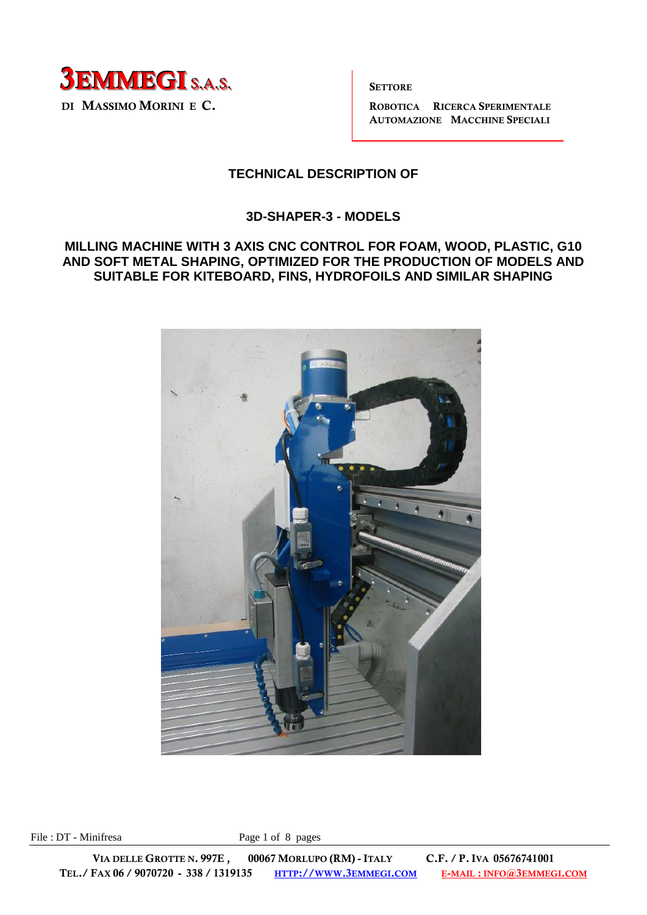

**AUTOMAZIONE MACCHINE SPECIALI**

## **TECHNICAL DESCRIPTION OF**

# **3D-SHAPER-3 - MODELS**

## **MILLING MACHINE WITH 3 AXIS CNC CONTROL FOR FOAM, WOOD, PLASTIC, G10 AND SOFT METAL SHAPING, OPTIMIZED FOR THE PRODUCTION OF MODELS AND SUITABLE FOR KITEBOARD, FINS, HYDROFOILS AND SIMILAR SHAPING**



File : DT - Minifresa Page 1 of 8 pages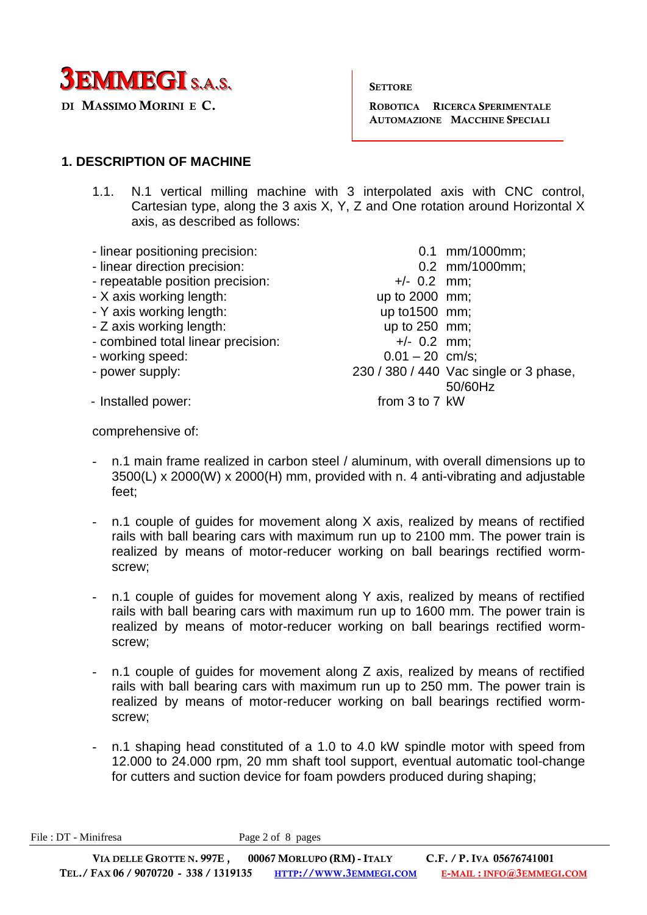

# **1. DESCRIPTION OF MACHINE**

1.1. N.1 vertical milling machine with 3 interpolated axis with CNC control, Cartesian type, along the 3 axis X, Y, Z and One rotation around Horizontal X axis, as described as follows:

| - linear positioning precision:    |                   | $0.1$ mm/1000mm;                       |
|------------------------------------|-------------------|----------------------------------------|
| - linear direction precision:      |                   | 0.2 mm/1000mm;                         |
| - repeatable position precision:   | $+/-$ 0.2 mm;     |                                        |
| - X axis working length:           | up to 2000 mm;    |                                        |
| - Y axis working length:           | up to 1500 mm;    |                                        |
| - Z axis working length:           | up to 250 mm;     |                                        |
| - combined total linear precision: | $+/-$ 0.2 mm;     |                                        |
| - working speed:                   | $0.01 - 20$ cm/s; |                                        |
| - power supply:                    |                   | 230 / 380 / 440 Vac single or 3 phase, |
|                                    |                   | 50/60Hz                                |
| - Installed power:                 | from 3 to 7 kW    |                                        |
|                                    |                   |                                        |

comprehensive of:

- n.1 main frame realized in carbon steel / aluminum, with overall dimensions up to 3500(L) x 2000(W) x 2000(H) mm, provided with n. 4 anti-vibrating and adjustable feet;
- n.1 couple of guides for movement along X axis, realized by means of rectified rails with ball bearing cars with maximum run up to 2100 mm. The power train is realized by means of motor-reducer working on ball bearings rectified wormscrew;
- n.1 couple of guides for movement along Y axis, realized by means of rectified rails with ball bearing cars with maximum run up to 1600 mm. The power train is realized by means of motor-reducer working on ball bearings rectified wormscrew;
- n.1 couple of guides for movement along Z axis, realized by means of rectified rails with ball bearing cars with maximum run up to 250 mm. The power train is realized by means of motor-reducer working on ball bearings rectified wormscrew;
- n.1 shaping head constituted of a 1.0 to 4.0 kW spindle motor with speed from 12.000 to 24.000 rpm, 20 mm shaft tool support, eventual automatic tool-change for cutters and suction device for foam powders produced during shaping;

File : DT - Minifresa Page 2 of 8 pages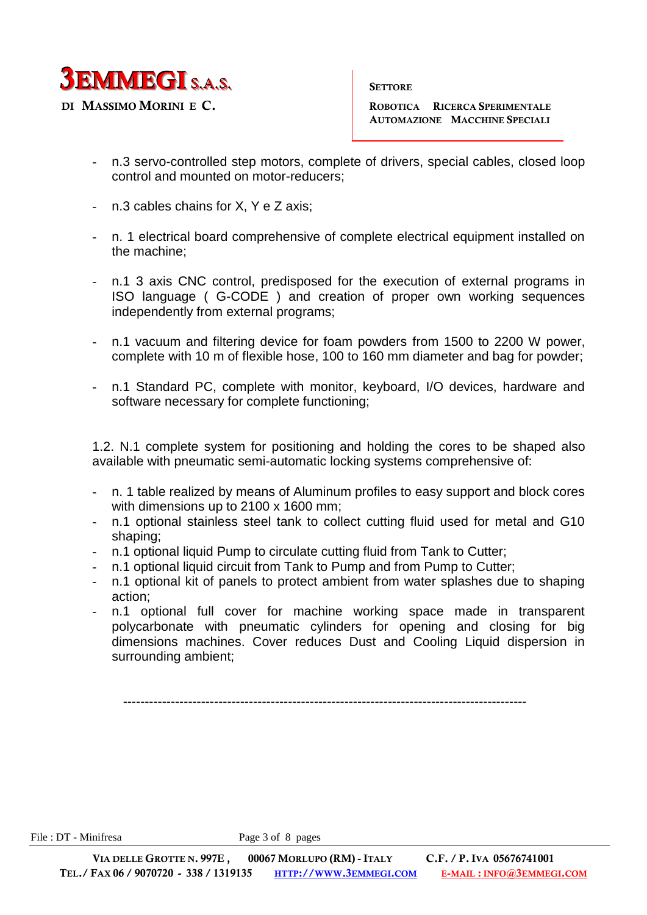

- n.3 servo-controlled step motors, complete of drivers, special cables, closed loop control and mounted on motor-reducers;
- n.3 cables chains for X, Y e Z axis;
- n. 1 electrical board comprehensive of complete electrical equipment installed on the machine;
- n.1 3 axis CNC control, predisposed for the execution of external programs in ISO language ( G-CODE ) and creation of proper own working sequences independently from external programs;
- n.1 vacuum and filtering device for foam powders from 1500 to 2200 W power, complete with 10 m of flexible hose, 100 to 160 mm diameter and bag for powder;
- n.1 Standard PC, complete with monitor, keyboard, I/O devices, hardware and software necessary for complete functioning;

1.2. N.1 complete system for positioning and holding the cores to be shaped also available with pneumatic semi-automatic locking systems comprehensive of:

- n. 1 table realized by means of Aluminum profiles to easy support and block cores with dimensions up to 2100 x 1600 mm;
- n.1 optional stainless steel tank to collect cutting fluid used for metal and G10 shaping;
- n.1 optional liquid Pump to circulate cutting fluid from Tank to Cutter;
- n.1 optional liquid circuit from Tank to Pump and from Pump to Cutter;
- n.1 optional kit of panels to protect ambient from water splashes due to shaping action;
- n.1 optional full cover for machine working space made in transparent polycarbonate with pneumatic cylinders for opening and closing for big dimensions machines. Cover reduces Dust and Cooling Liquid dispersion in surrounding ambient;

---------------------------------------------------------------------------------------------

File : DT - Minifresa Page 3 of 8 pages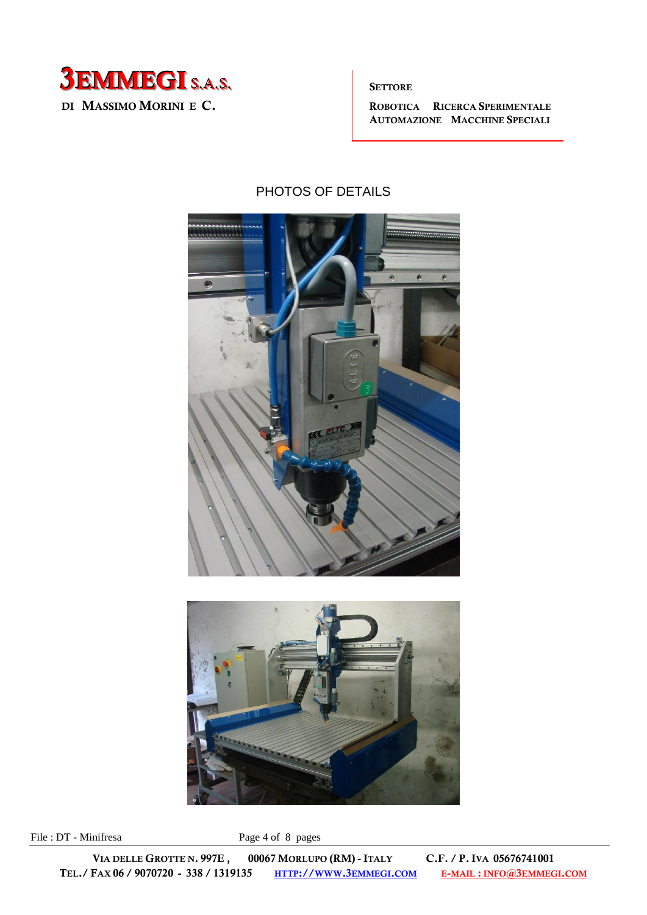

**ROBOTICA RICERCA SPERIMENTALE AUTOMAZIONE MACCHINE SPECIALI**

# PHOTOS OF DETAILS





File : DT - Minifresa Page 4 of 8 pages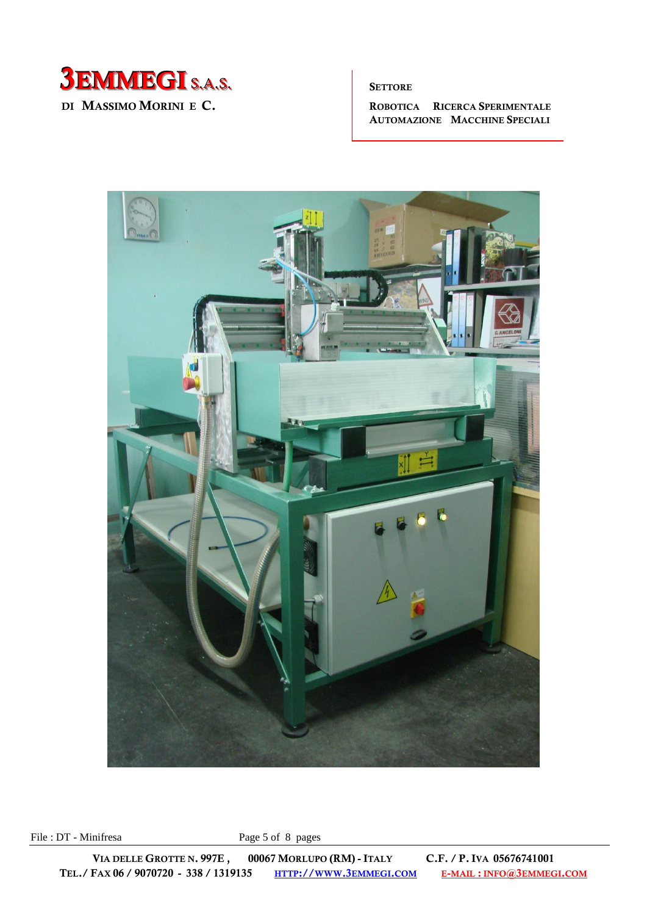

**ROBOTICA RICERCA SPERIMENTALE AUTOMAZIONE MACCHINE SPECIALI**



File : DT - Minifresa Page 5 of 8 pages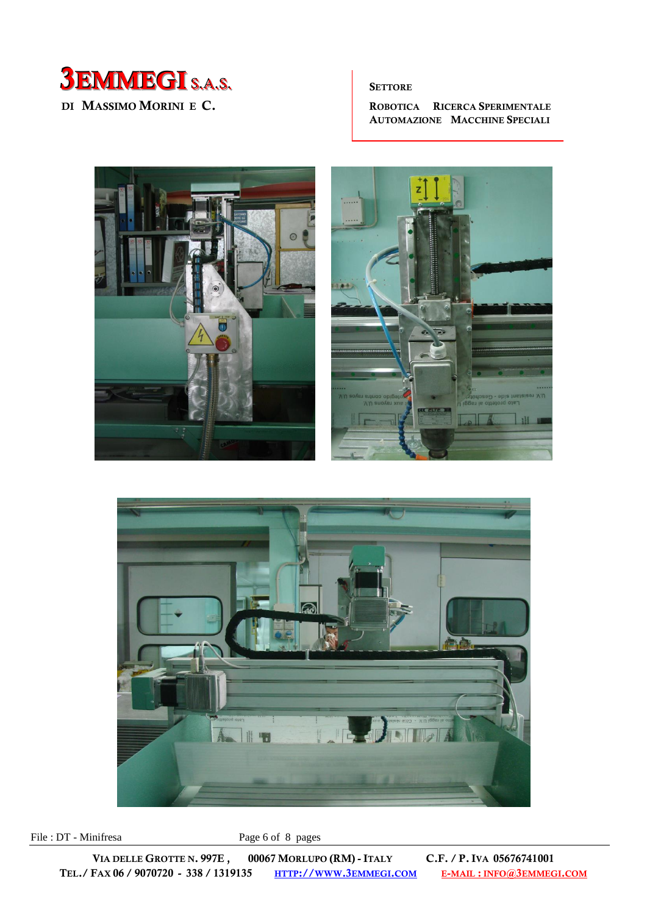

**ROBOTICA RICERCA SPERIMENTALE AUTOMAZIONE MACCHINE SPECIALI**







File : DT - Minifresa Page 6 of 8 pages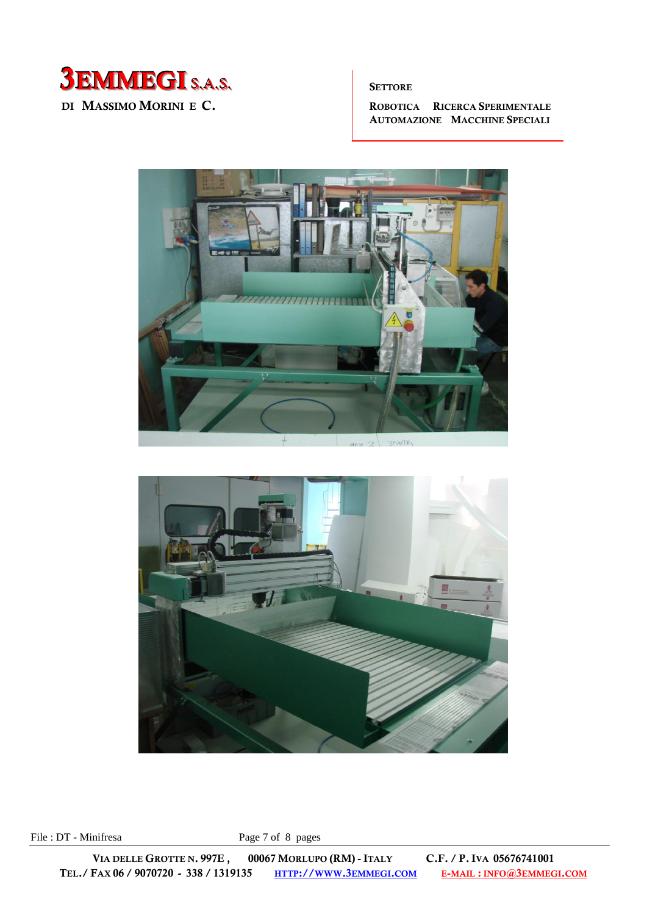





File : DT - Minifresa Page 7 of 8 pages